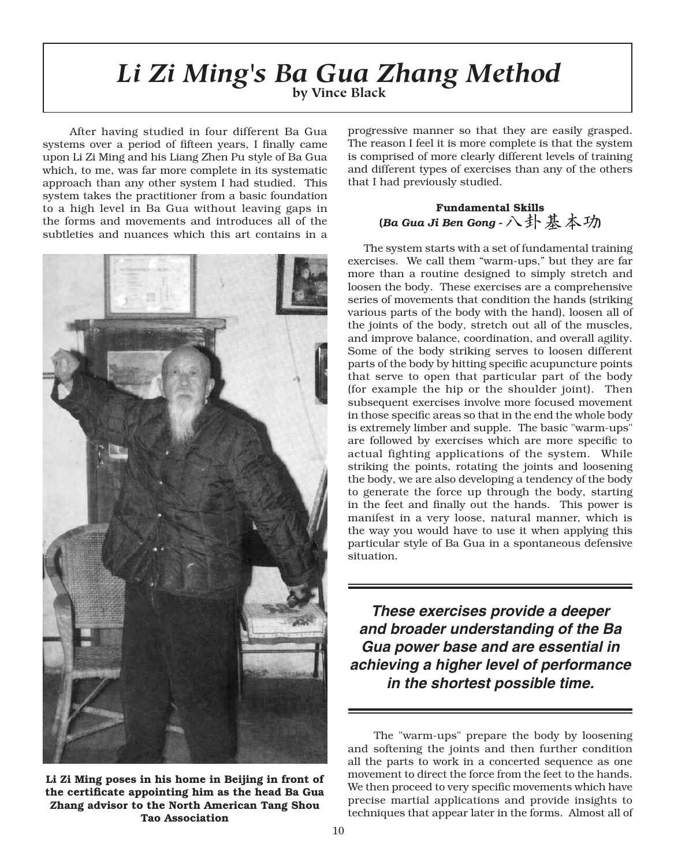#### which, to me, was far more complete in its systematic in its systematic in its systematic in its systematic in its systematic in  $\mathcal{L}_\mathcal{S}$ approximation is  $\mathbf{I}$  if  $\mathbf{Z}$  if  $\mathbf{M}$  in the  $\mathbf{a}$  function  $\mathbf{A}$  is  $\mathbf{A}$  if  $\mathbf{A}$  is  $\mathbf{A}$  is  $\mathbf{A}$  is  $\mathbf{A}$  is  $\mathbf{A}$  is  $\mathbf{A}$  is  $\mathbf{A}$  is  $\mathbf{A}$  is  $\mathbf{A}$  is  $\mathbf{A}$  is  $\$  $\mathbb{R}$  bestemming the property of  $\mathbb{R}$ by Vince Black and different types of exercises than any of the others that I had previously studied. *Li Zi Ming's Ba Gua Zhang Method* **by Vince Black**

After having studied in four different Ba Gua systems over a period of fifteen years, I finally came upon Li Zi Ming and his Liang Zhen Pu style of Ba Gua which, to me, was far more complete in its systematic approach than any other system I had studied. This system takes the practitioner from a basic foundation to a high level in Ba Gua without leaving gaps in the forms and movements and introduces all of the subtleties and nuances which this art contains in a

upon Liang and his Liang and his Liang Zhen Pu style of Ba Guardian District of Ba Guardian District of Ba Gua

the forms and movements and introduces all of the



 $\vec{z}$   $\vec{z}$   $\vec{z}$   $\vec{z}$   $\vec{z}$   $\vec{z}$  and  $\vec{z}$   $\vec{z}$   $\vec{z}$   $\vec{z}$   $\vec{z}$   $\vec{z}$   $\vec{z}$   $\vec{z}$   $\vec{z}$   $\vec{z}$   $\vec{z}$   $\vec{z}$   $\vec{z}$   $\vec{z}$   $\vec{z}$   $\vec{z}$   $\vec{z}$   $\vec{z}$   $\vec{z}$   $\vec{z}$   $\vec{z}$  In the Library of Denging in Library of Production and Review of Production. Zhang advisor to the North American Tang Shou **Tao Association** 

progressive manner so that they are easily grasped. The reason I feel it is more complete is that the system is comprised of more clearly different levels of training and different types of exercises than any of the others ra er mer mer mann s.<br>usly studied. (*Ba Gua Ji Ben Gong* - )that I had previously studied.

is comprised of more clearly different levels of training

#### various parts of the body with the hand), loosen all of  $\frac{1}{2}$  rundamental Skiis (Ba Gua Ji Ben Gong -  $\land$  If  $\&$   $\land$   $\forall$ )

The system starts with a set of fundamental training exercises. We call them "warm-ups," but they are far more than a routine designed to simply stretch and loosen the body. These exercises are a comprehensive series of movements that condition the hands (striking various parts of the body with the hand), loosen all of the joints of the body, stretch out all of the muscles, and improve balance, coordination, and overall agility. Some of the body striking serves to loosen different parts of the body by hitting specific acupuncture points that serve to open that particular part of the body (for example the hip or the shoulder joint). Then subsequent exercises involve more focused movement in those specific areas so that in the end the whole body is extremely limber and supple. The basic "warm-ups" are followed by exercises which are more specific to actual fighting applications of the system. While striking the points, rotating the joints and loosening the body, we are also developing a tendency of the body to generate the force up through the body, starting in the feet and finally out the hands. This power is manifest in a very loose, natural manner, which is the way you would have to use it when applying this particular style of Ba Gua in a spontaneous defensive situation.

**These exercises provide a deeper**  and broader understanding of the Ba Gua power base and are essential in achieving a higher level of performance in the shortest possible time. and broader differentiality of the Da we then proceed to very specific movements which have moved to very specific moved to very specific moved to v

The "warm-ups" prepare the body by loosening and softening the joints and then further condition all the parts to work in a concerted sequence as one movement to direct the force from the feet to the hands. We then proceed to very specific movements which have precise martial applications and provide insights to techniques that appear later in the forms. Almost all of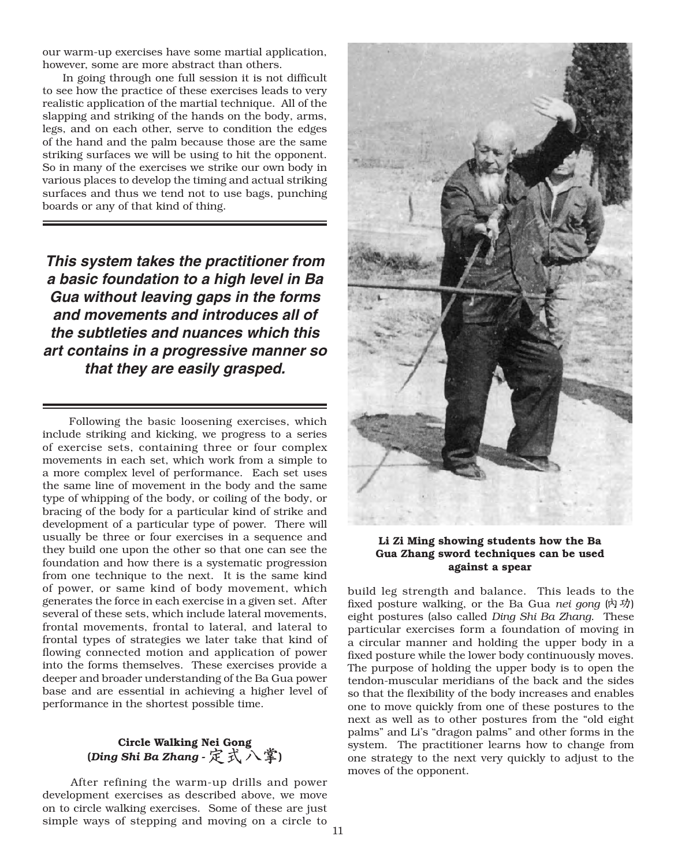our warm-up exercises have some martial application, however, some are more abstract than others.

In going through one full session it is not difficult to see how the practice of these exercises leads to very realistic application of the martial technique. All of the slapping and striking of the hands on the body, arms, legs, and on each other, serve to condition the edges of the hand and the palm because those are the same striking surfaces we will be using to hit the opponent. So in many of the exercises we strike our own body in various places to develop the timing and actual striking surfaces and thus we tend not to use bags, punching boards or any of that kind of thing.

**This system takes the practitioner from a basic foundation to a high level in Ba Gua without leaving gaps in the forms**  and movements and introduces all of the subtleties and nuances which this art contains in a progressive manner so **that they are easily grasped.** and movements and introduces an or are comance in a progressive manner set that they are easily grasped.

bracing of the body for a particular kind of strike and

development of a particular type of a particular type of power. There will be a particular type of power. There will be a particular type of  $\alpha$ Following the basic loosening exercises, which include striking and kicking, we progress to a series of exercise sets, containing three or four complex movements in each set, which work from a simple to a more complex level of performance. Each set uses the same line of movement in the body and the same type of whipping of the body, or coiling of the body, or bracing of the body for a particular kind of strike and development of a particular type of power. There will usually be three or four exercises in a sequence and they build one upon the other so that one can see the foundation and how there is a systematic progression from one technique to the next. It is the same kind of power, or same kind of body movement, which generates the force in each exercise in a given set. After several of these sets, which include lateral movements, frontal movements, frontal to lateral, and lateral to frontal types of strategies we later take that kind of flowing connected motion and application of power into the forms themselves. These exercises provide a deeper and broader understanding of the Ba Gua power base and are essential in achieving a higher level of performance in the shortest possible time. The Constant Properties and

## (Ding Shi Ba Zhang - 定式入掌)

After refining the warm-up drills and power development exercises as described above, we move on to circle walking exercises. Some of these are just simple ways of stepping and moving on a circle to



Li Zi Ming showing students how the Ba Gua Zhang sword techniques can be used against a spear

build leg strength and balance. This leads to the eight postures (also called *Ding Shi Ba Zhang. "*These" particular exercises form a foundation of moving in a circular manner and holding the upper body in a fixed posture while the lower body continuously moves. The purpose of holding the upper body is to open the tendon-muscular meridians of the back and the sides so that the flexibility of the body increases and enables one to move quickly from one of these postures to the fixed posture walking, or the Ba Gua nei gong  $(\nabla \cdot \vec{y})$ next as well as to other postures from the "old eight palms" and Li's "dragon palms" and other forms in the system. The practitioner learns how to change from one strategy to the next very quickly to adjust to the moves of the opponent.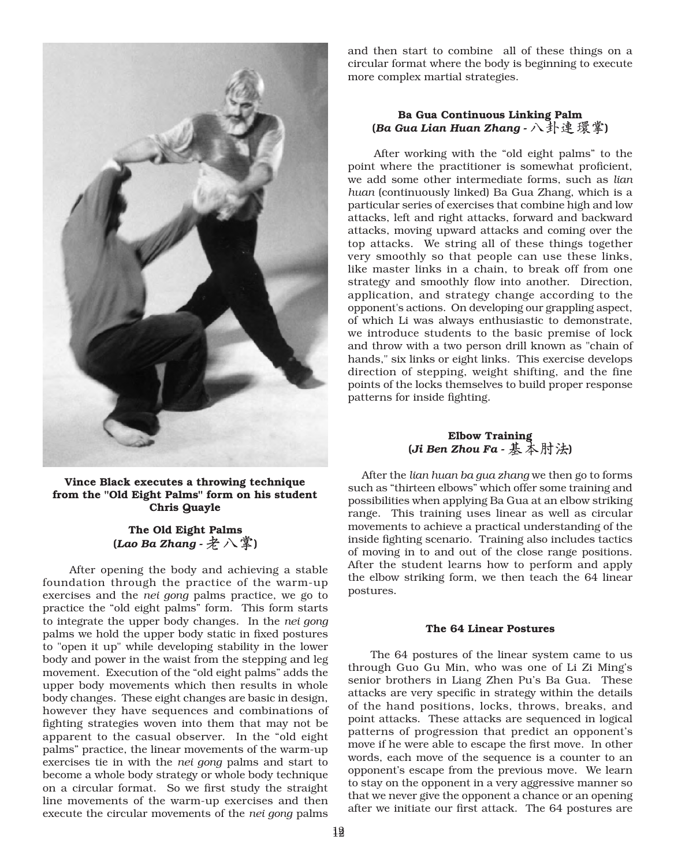

from the "Old Eight Palms" form on his student **Chris Quayle** 

#### (Lao Ba Zhang -  $\mathcal{X} \wedge \mathcal{F}$ ) the Old Eight Palms in the lower while developing in the lower stability in the lower stability in the lower stability in the lower stability in the lower stability in the lower stability in the lower stability in the lowe

foundation through the practice of the warm-up exercises and the *nei gong* palms practice, we go to practice the "old eight palms" form. This form starts to integrate the upper body changes. In the *nei gong* palms we hold the upper body static in fixed postures<br>to "open it up" while developing stability in the lower<br>body and power in the waist from the stepping and leg<br>movement. Execution of the "old eight palms" adds the<br>uppe to "open it up" while developing stability in the lower body and power in the waist from the stepping and leg movement. Execution of the "old eight palms" adds the After opening the body and achieving a stable upper body movements which then results in whole body changes. These eight changes are basic in design, however they have sequences and combinations of fighting strategies woven into them that may not be apparent to the casual observer. In the "old eight palms" practice, the linear movements of the warm-up foundation through the practice of the warm-up<br>exercises and the *nei gong* palms practice, we go to<br>practice the "old eight palms" form. This form starts<br>to integrate the upper body changes. In the *nei gong*<br>palms we hol exercises tie in with the nei gong palms and start to become a whole body strategy or whole body technique on a circular format. So we first study the straight line movements of the warm-up exercises and then execute the circular movements of the *nei* gong palms

circular format where the body is beginning to execute complex martial strategies. Palment Continuous Linking Palment Continuous Linking Palment Continuous Linking Palment Continuous Linking Pa and then start to combine all of these things on a we and then start to combine all of these things on a<br>*c*ircular format where the body is beginning to execute

#### Ba Gua Continuous Linking Palm (Ba Gua Lian Huan Zhang - 八 卦 遑 塚 孚)

point where the practitioner is somewhat proficient, we add some other intermediate forms, such as *lian* huan (continuously linked) Ba Gua Zhang, which is a attacks, left and right attacks, forward and backward attacks, moving upward attacks and coming over the top attacks. We string all of these things together very smoothly so that people can use these links, After working with the "old eight palms" to the like master links in a chain, to break off from one application, and strategy change according to the huan (continuously linked) Ba Gua Zhang, which is a<br>particular series of exercises that combine high and low<br>attacks, left and right attacks, forward and backward<br>attacks, moving upward attacks and coming over the<br>top atta particular series of exercises that combine high and low of which Li was always enthusiastic to demonstrate, we introduce students to the basic premise of lock and throw with a two person drill known as "chain of direction of stepping, weight shifting, and the fine points of the locks themselves to build proper response strategy and smoothly flov patterns for inside fighting. Elbow Training. ce students to the basic prem<br>with a two person drill known a<br>links or eight links. This exercis<br>f stepping, weight shifting, ar.<br>e locks themselves to build prope<br>inside fighting. application, and strategy change according to the<br>opponent's actions. On developing our grappling aspect,<br>of which Li was always enthusiastic to demonstrate,<br>we introduce students to the basic premise of lock<br>and throw wit

#### $E$ lbow Training  $\sum_{n=1}^{\infty}$ (Ji Ben Zhou Fa -  $\&$   $\wedge$   $\wedge$   $\forall$   $\forall$ ,

After the *lian huan ba gua zhang* we then go to forms such as "thirteen elbows" which offer some training and possibilities when applying Ba Gua at an elbow striking range. This training uses linear as well as circular movements to achieve a practical understanding of the inside fighting scenario. Training also includes tactics of moving in to and out of the close range positions. After the student learns how to perform and apply the elbow striking form, we then teach the 64 linear  $\alpha$  postures,  $\alpha$ 

#### The 64 Linear Postures

The 64 postures of the linear system came to us through Guo Gu Min, who was one of Li Zi Ming's senior brothers in Liang Zhen Pu's Ba Gua. These attacks are very specific in strategy within the details of the hand positions, locks, throws, breaks, and point attacks. These attacks are sequenced in logical patterns of progression that predict an opponent's move if he were able to escape the first move. In other words, each move of the sequence is a counter to an opponent's escape from the previous move. We learn to stay on the opponent in a very aggressive manner so that we never give the opponent a chance or an opening after we initiate our first attack. The 64 postures are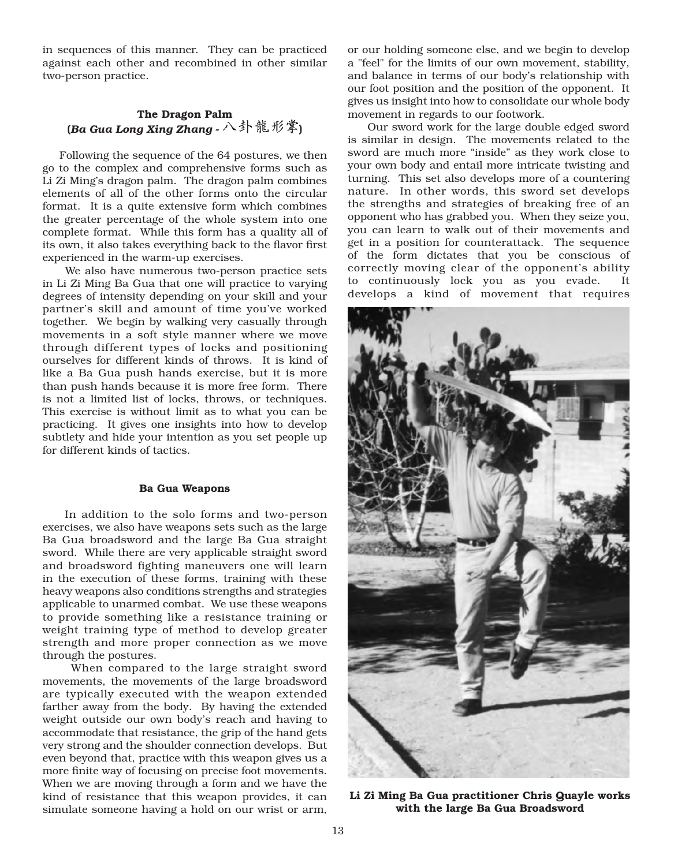in sequences of this manner. They can be practiced against each other and recombined in other similar two-person practice.  $\overline{\mathcal{L}}$  and  $\overline{\mathcal{L}}$  and  $\overline{\mathcal{L}}$  and  $\overline{\mathcal{L}}$  and  $\overline{\mathcal{L}}$  and  $\overline{\mathcal{L}}$  and  $\overline{\mathcal{L}}$ in sequences of this manner. They can be practiced

#### The Dragon Palm  $\Gamma$  interpretation is the state form has a quality all of  $\Gamma$  all of  $\Gamma$  all of  $\Gamma$  all of  $\Gamma$  all of  $\Gamma$  all of  $\Gamma$  all of  $\Gamma$  all of  $\Gamma$  all  $\Gamma$  all  $\Gamma$  all  $\Gamma$  all  $\Gamma$  all  $\Gamma$  all  $\Gamma$  all  $\Gamma$  all  $\Gamma$  a **is outer than in the flavor of the flavor field of the flavor field of the flavor field of the flavor field of**

Following the sequence of the 64 postures, we then go to the complex and comprehensive forms such as Li Zi Ming's dragon palm. The dragon palm combines elements of all of the other forms onto the circular tormat. It is a quite extensive form which combines the greater percentage of the whole system into one complete format. While this form has a quality all of its own, it also takes everything back to the flavor first experienced in the warm-up exercises.

We also have numerous two-person practice sets in Li Zi Ming Ba Gua that one will practice to varying degrees of intensity depending on your skill and your partner's skill and amount of time you've worked together. We begin by walking very casually through movements in a soft style manner where we move through different types of locks and positioning ourselves for different kinds of throws. It is kind of like a Ba Gua push hands exercise, but it is more than push hands because it is more free form. There is not a limited list of locks, throws, or techniques. This exercise is without limit as to what you can be practicing. It gives one insights into how to develop subtlety and hide your intention as you set people up for different kinds of tactics.

#### Ba Gua Weapons

In addition to the solo forms and two-person exercises, we also have weapons sets such as the large Ba Gua broadsword and the large Ba Gua straight sword. While there are very applicable straight sword and broadsword fighting maneuvers one will learn in the execution of these forms, training with these heavy weapons also conditions strengths and strategies applicable to unarmed combat. We use these weapons to provide something like a resistance training or weight training type of method to develop greater strength and more proper connection as we move through the postures.

When compared to the large straight sword movements, the movements of the large broadsword are typically executed with the weapon extended farther away from the body. By having the extended weight outside our own body's reach and having to accommodate that resistance, the grip of the hand gets very strong and the shoulder connection develops. But even beyond that, practice with this weapon gives us a more finite way of focusing on precise foot movements. When we are moving through a form and we have the kind of resistance that this weapon provides, it can simulate someone having a hold on our wrist or arm,

or our holding someone else, and we begin to develop a "teel" for the limits of our own movement, stability, and balance in terms of our body's relationship with our foot position and the position of the opponent. It gives us insight into how to consolidate our whole body movement in regards to our footwork.

Our sword work for the large double edged sword is similar in design. The movements related to the sword are much more "inside" as they work close to your own body and entail more intricate twisting and turning. This set also develops more of a countering nature. In other words, this sword set develops the strengths and strategies of breaking free of an opponent who has grabbed you. When they seize you, you can learn to walk out of their movements and get in a position for counterattack. The sequence of the form dictates that you be conscious of correctly moving clear of the opponent's ability to continuously lock you as you evade.  $It$ develops a kind of movement that requires



Li Zi Ming Ba Gua practitioner Chris Quayle works with the large Ba Gua Broadsword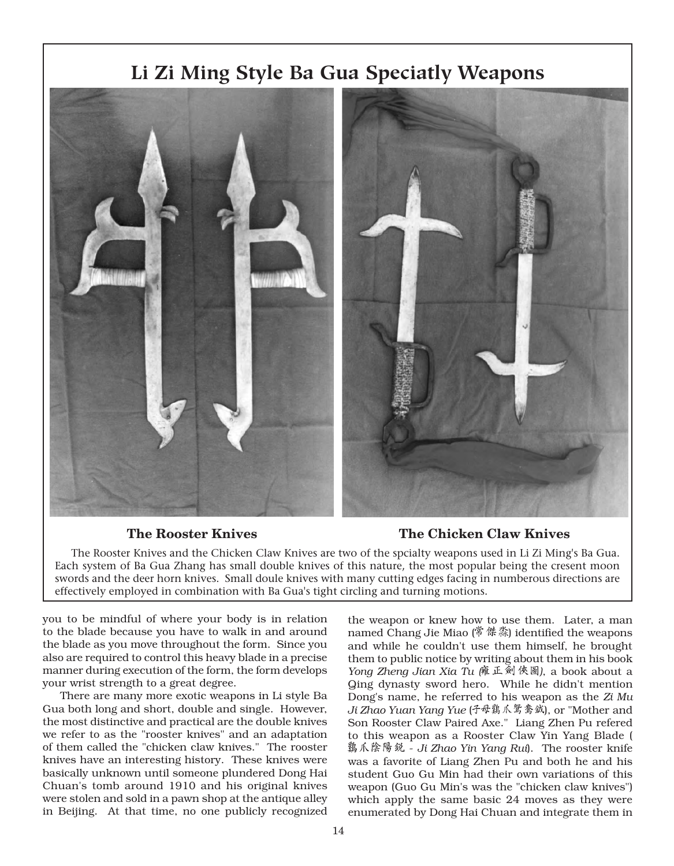# you to be mindful of where you to be mindful of where you to be mindful of where you to be a state of where you to the blade because you have to be and and around the blade because in and around the second state of the second the weapon of the weapon of the weapon of the weapon of the weapon of the weapon of the weapon of the weapon named Chang Jie Miao (The Rooster Knives<br>The Rooster Knives and the Chicken Claw Knives are two of the spcialty weapons used in Li Zi Ming's Ba Gua. *Yong Zheng Jian Xia Tu (***Li Zi Ming Style Ba Gua Speciatly Weapons** Each system of Ba Gua Zhang has small double knives of this nature, the most popular being the cresent moon

#### The Rooster Knives

### The Rooster Knives **The Chicken Claw Knives**

also are required to control this heavy blade in a precise and the form of the form during execution of the form develops are form, the form of the form of the form develops of the form of the form of the form of the form of the form of the form of the form of the form of the form Each system of Ba Gua Zhang has small double knives of this hature, the most popular being the cresent moon The Rooster Knives and the Chicken Claw Knives are two of the spcialty weapons used in Li Zi Ming's Ba Gua.<br>Each system of Ba Gua Zhang has small double knives of this nature, the most popular being the cresent moon<br>swords  $\Box$  effectively employed in combination with Ba Gua's tight circling and turning motio **Example 18 Service Scheme Scheme Scheme Scheme Scheme Scheme Scheme Scheme Scheme Scheme Scheme Scheme Scheme Scheme Scheme Scheme Scheme Scheme Scheme Scheme Scheme Scheme Scheme Scheme Scheme Scheme Scheme Scheme Schem The Chicken Claw Knives**<br>
vo of the spcialty weapons used in Li Zi Ming's Ba Gua.<br>
this nature, the most popular being the cresent moon<br>
many cutting edges facing in numberous directions are<br>
rcling and turning motions.<br>

you to be mindful of where your body is in relation to the blade because you have to walk in and around the blade as you move throughout the form. Since you also are required to control this heavy blade in a precise manner during execution of the form, the form develops your wrist strength to a great degree.

There are many more exotic weapons in Li style Ba Gua both long and short, double and single. However, the most distinctive and practical are the double knives we refer to as the "rooster knives" and an adaptation of them called the "chicken claw knives." The rooster knives have an interesting history. These knives were basically unknown until someone plundered Dong Hai manner during execution of the form, the form develops<br>your wrist strength to a great degree.<br>There are many more exotic weapons in Li style Ba<br>Gua both long and short, double and single. However,<br>the most distinctive and Chuan's tomb around 1910 and his original knives were stolen and sold in a pawn shop at the antique alley in Beijing. At that time, no one publicly recognized

the weapon or knew how to use them. Later, a man and while he couldn't use them himself, he brought them to public notice by writing about them in his book **)**<br> **(Claw Knives**<br>
used in Li Zi Ming's Ba Gua.<br>
ular being the cresent moon<br>
in numberous directions are<br>
s.<br>
v to use them. Later, a man<br>  $\delta$  傑淼) identified the weapons<br>
se them himself, he brought<br>
vriting about the this hattle, the most popular being the cresent moon<br>many cutting edges facing in numberous directions are<br>rcling and turning motions.<br>the weapon or knew how to use them. Later, a man<br>named Chang Jie Miao ( $\oint \mathcal{R} \mathcal{R}$ Ging dynasty sword hero. While he didn't mention **The Chicken Claw Knives**<br>vo of the spcialty weapons used in Li Zi Ming's Ba Gua.<br>this nature, the most popular being the cresent moon<br>many cutting edges facing in numberous directions are<br>rcling and turning motions.<br>the Dong's name, he referred to his weapon as the Zi Mu )<br>Ins.<br>
ow to use them. Later, a man<br>
(常傑淼) identified the weapons<br>
use them himself, he brought<br>
v writing about them in his book<br>
(雍正劍俠圖), a book about a<br>
ero. While he didn't mention<br>
red to his weapon as the Zi Mu<br>
( Son Rooster Claw Paired Axe." Liang Zhen Pu refered to this weapon as a Rooster Claw Yin Yang Blade ( 鷄爪陰陽鋭 - Ji Zhao Yin Yang Rui). The rooster knife was a favorite of Liang Zhen Pu and both he and his student Guo Gu Min had their own variations of this Yong Zheng Jian Xia Tu (#  $\mathbb{L}$   $\mathbb{R}^{1}$  (\*  $\mathbb{R}^{1}$ ), a book about a Ging dynasty sword hero. While he didn't mention Dong's name, he referred to his weapon as the Zi Mu Ji Zhao Yuan Yang Yue ( $\mathbb{R}^{4}$ ,  $\mathbb{$ weapon (Guo Gu Min's was the "chicken claw knives") which apply the same basic 24 moves as they were enumerated by Dong Hai Chuan and integrate them in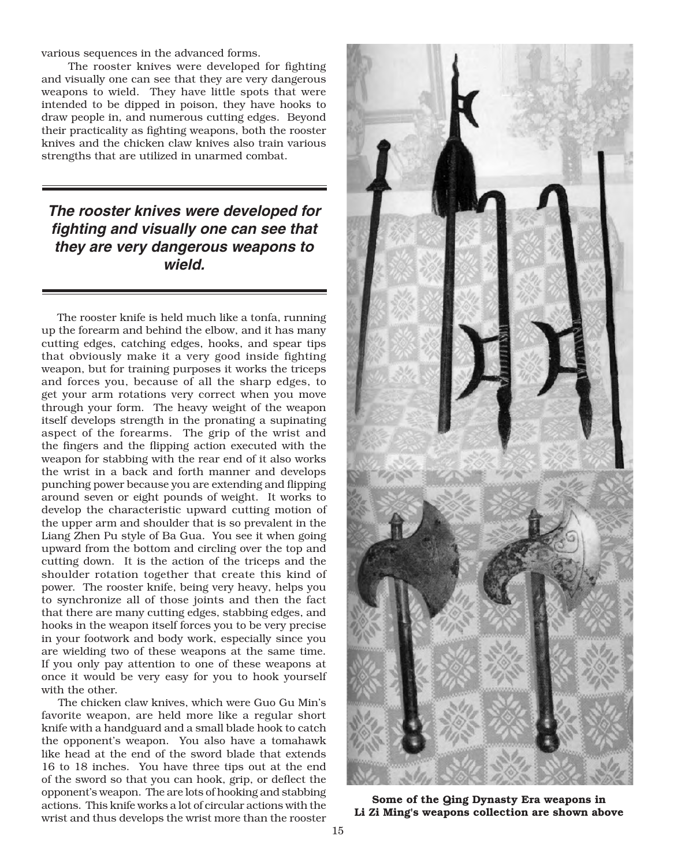various sequences in the advanced forms.

The rooster knives were developed for fighting and visually one can see that they are very dangerous weapons to wield. They have little spots that were intended to be dipped in poison, they have hooks to draw people in, and numerous cutting edges. Beyond their practicality as fighting weapons, both the rooster knives and the chicken claw knives also train various strengths that are utilized in unarmed combat.

#### The rooster knives were developed for fighting and visually one can see that they are very dangerous weapons to **wield.** ing forearm and behind the electroped for  $\frac{m}{2}$  and training purposes it capacity to  $\boldsymbol{\theta}$  wield.

through your form. The heavy weight of the heavy weight of the weight of the weapons of the weapons of the weapons of the weapons of the weapons of the weapons of the weapons of the weapons of the weapons of the weapons of

The rooster knite is held much like a tonta, running up the forearm and behind the elbow, and it has many cutting edges, catching edges, hooks, and spear tips that obviously make it a very good inside fighting weapon, but for training purposes it works the triceps and forces you, because of all the sharp edges, to get your arm rotations very correct when you move through your form. The heavy weight of the weapon itself develops strength in the pronating a supinating aspect of the forearms. The grip of the wrist and the fingers and the flipping action executed with the weapon for stabbing with the rear end of it also works the wrist in a back and forth manner and develops punching power because you are extending and flipping around seven or eight pounds of weight. It works to develop the characteristic upward cutting motion of the upper arm and shoulder that is so prevalent in the Liang Zhen Pu style of Ba Gua. You see it when going upward from the bottom and circling over the top and cutting down. It is the action of the triceps and the shoulder rotation together that create this kind of power. The rooster knife, being very heavy, helps you to synchronize all of those joints and then the fact that there are many cutting edges, stabbing edges, and hooks in the weapon itself forces you to be very precise in your footwork and body work, especially since you are wielding two of these weapons at the same time. If you only pay attention to one of these weapons at once it would be very easy for you to hook yourself with the other.

The chicken claw knives, which were Guo Gu Min's favorite weapon, are held more like a regular short knife with a handguard and a small blade hook to catch the opponent's weapon. You also have a tomahawk like head at the end of the sword blade that extends 16 to 18 inches. You have three tips out at the end of the sword so that you can hook, grip, or deflect the opponent's weapon. The are lots of hooking and stabbing actions. This knife works a lot of circular actions with the wrist and thus develops the wrist more than the rooster



Some of the Qing Dynasty Era weapons in<br>Li Zi Ming's weapons collection are shown above